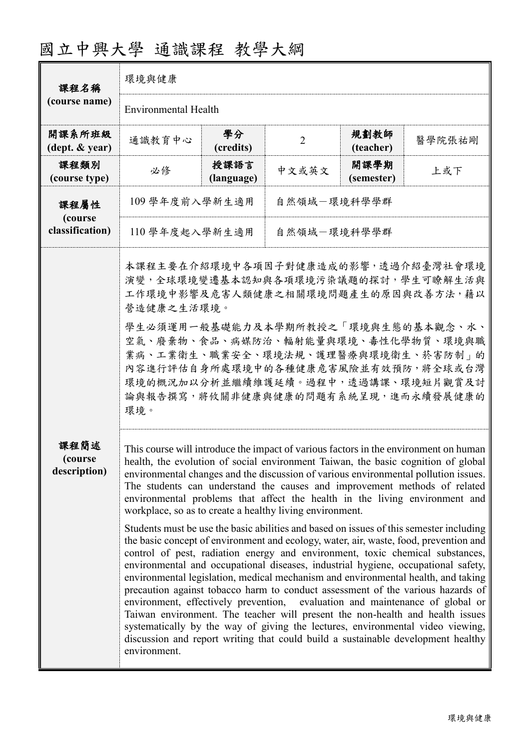| 課程名稱<br>(course name)              | 環境與健康                                                                                                                                                                                                                                                                                                                                                                                                                                                                                                                                                                                                                                                                                                                                                                                                                                                                                                                                                                                                                                                                                                                                                                                                                                                                                                                                                                             |                    |                                                                                                                                                                                                                                                                                                                                                     |                    |        |  |
|------------------------------------|-----------------------------------------------------------------------------------------------------------------------------------------------------------------------------------------------------------------------------------------------------------------------------------------------------------------------------------------------------------------------------------------------------------------------------------------------------------------------------------------------------------------------------------------------------------------------------------------------------------------------------------------------------------------------------------------------------------------------------------------------------------------------------------------------------------------------------------------------------------------------------------------------------------------------------------------------------------------------------------------------------------------------------------------------------------------------------------------------------------------------------------------------------------------------------------------------------------------------------------------------------------------------------------------------------------------------------------------------------------------------------------|--------------------|-----------------------------------------------------------------------------------------------------------------------------------------------------------------------------------------------------------------------------------------------------------------------------------------------------------------------------------------------------|--------------------|--------|--|
|                                    | <b>Environmental Health</b>                                                                                                                                                                                                                                                                                                                                                                                                                                                                                                                                                                                                                                                                                                                                                                                                                                                                                                                                                                                                                                                                                                                                                                                                                                                                                                                                                       |                    |                                                                                                                                                                                                                                                                                                                                                     |                    |        |  |
| 開課系所班級<br>(dept. & year)           | 通識教育中心                                                                                                                                                                                                                                                                                                                                                                                                                                                                                                                                                                                                                                                                                                                                                                                                                                                                                                                                                                                                                                                                                                                                                                                                                                                                                                                                                                            | 學分<br>(credits)    | $\overline{2}$                                                                                                                                                                                                                                                                                                                                      | 規劃教師<br>(teacher)  | 醫學院張祐剛 |  |
| 課程類別<br>(course type)              | 必修                                                                                                                                                                                                                                                                                                                                                                                                                                                                                                                                                                                                                                                                                                                                                                                                                                                                                                                                                                                                                                                                                                                                                                                                                                                                                                                                                                                | 授課語言<br>(language) | 中文或英文                                                                                                                                                                                                                                                                                                                                               | 開課學期<br>(semester) | 上或下    |  |
| 課程屬性<br>(course<br>classification) | 109 學年度前入學新生適用<br>自然領域-環境科學學群                                                                                                                                                                                                                                                                                                                                                                                                                                                                                                                                                                                                                                                                                                                                                                                                                                                                                                                                                                                                                                                                                                                                                                                                                                                                                                                                                     |                    |                                                                                                                                                                                                                                                                                                                                                     |                    |        |  |
|                                    | 110 學年度起入學新生適用<br>自然領域一環境科學學群                                                                                                                                                                                                                                                                                                                                                                                                                                                                                                                                                                                                                                                                                                                                                                                                                                                                                                                                                                                                                                                                                                                                                                                                                                                                                                                                                     |                    |                                                                                                                                                                                                                                                                                                                                                     |                    |        |  |
|                                    | 營造健康之生活環境。<br>環境。                                                                                                                                                                                                                                                                                                                                                                                                                                                                                                                                                                                                                                                                                                                                                                                                                                                                                                                                                                                                                                                                                                                                                                                                                                                                                                                                                                 |                    | 本課程主要在介紹環境中各項因子對健康造成的影響,透過介紹臺灣社會環境<br>演變,全球環境變遷基本認知與各項環境污染議題的探討,學生可瞭解生活與<br>工作環境中影響及危害人類健康之相關環境問題產生的原因與改善方法, 藉以<br>學生必須運用一般基礎能力及本學期所教授之「環境與生態的基本觀念、水、<br>空氣、廢棄物、食品、病媒防治、輻射能量與環境、毒性化學物質、環境與職<br>業病、工業衛生、職業安全、環境法規、護理醫療與環境衛生、菸害防制」的<br>內容進行評估自身所處環境中的各種健康危害風險並有效預防,將全球或台灣<br>環境的概況加以分析並繼續維護延續。過程中,透過講課、環境短片觀賞及討<br>論與報告撰寫,將攸關非健康與健康的問題有系統呈現,進而永續發展健康的 |                    |        |  |
| 課程簡述<br>(course)<br>description)   | This course will introduce the impact of various factors in the environment on human<br>health, the evolution of social environment Taiwan, the basic cognition of global<br>environmental changes and the discussion of various environmental pollution issues.<br>The students can understand the causes and improvement methods of related<br>environmental problems that affect the health in the living environment and<br>workplace, so as to create a healthy living environment.<br>Students must be use the basic abilities and based on issues of this semester including<br>the basic concept of environment and ecology, water, air, waste, food, prevention and<br>control of pest, radiation energy and environment, toxic chemical substances,<br>environmental and occupational diseases, industrial hygiene, occupational safety,<br>environmental legislation, medical mechanism and environmental health, and taking<br>precaution against tobacco harm to conduct assessment of the various hazards of<br>environment, effectively prevention, evaluation and maintenance of global or<br>Taiwan environment. The teacher will present the non-health and health issues<br>systematically by the way of giving the lectures, environmental video viewing,<br>discussion and report writing that could build a sustainable development healthy<br>environment. |                    |                                                                                                                                                                                                                                                                                                                                                     |                    |        |  |

## 國立中興大學 通識課程 教學大綱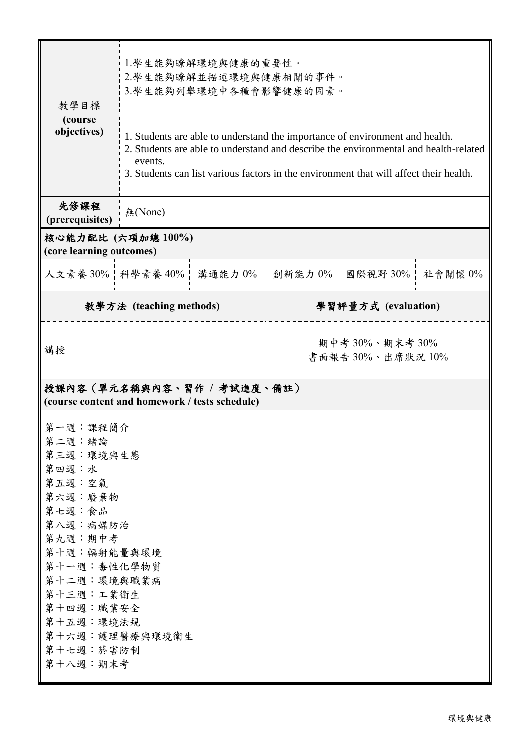| 教學目標                                                                                                                                                                                                         | 1.學生能夠瞭解環境與健康的重要性。<br>2.學生能夠瞭解並描述環境與健康相關的事件。<br>3.學生能夠列舉環境中各種會影響健康的因素。                                                                                                                                                                                                    |                     |                                    |          |         |  |  |
|--------------------------------------------------------------------------------------------------------------------------------------------------------------------------------------------------------------|---------------------------------------------------------------------------------------------------------------------------------------------------------------------------------------------------------------------------------------------------------------------------|---------------------|------------------------------------|----------|---------|--|--|
| (course<br>objectives)                                                                                                                                                                                       | 1. Students are able to understand the importance of environment and health.<br>2. Students are able to understand and describe the environmental and health-related<br>events.<br>3. Students can list various factors in the environment that will affect their health. |                     |                                    |          |         |  |  |
| 先修課程<br>(prerequisites)                                                                                                                                                                                      | 無(None)                                                                                                                                                                                                                                                                   |                     |                                    |          |         |  |  |
| (core learning outcomes)                                                                                                                                                                                     | 核心能力配比 (六項加總100%)                                                                                                                                                                                                                                                         |                     |                                    |          |         |  |  |
| 人文素養 30% 科學素養 40%                                                                                                                                                                                            |                                                                                                                                                                                                                                                                           | 溝通能力 0%             | 創新能力 0%                            | 國際視野 30% | 社會關懷 0% |  |  |
| 教學方法 (teaching methods)                                                                                                                                                                                      |                                                                                                                                                                                                                                                                           | 學習評量方式 (evaluation) |                                    |          |         |  |  |
| 講授                                                                                                                                                                                                           |                                                                                                                                                                                                                                                                           |                     | 期中考 30%、期末考 30%<br>書面報告30%、出席狀況10% |          |         |  |  |
| 授課內容(單元名稱與內容、習作 / 考試進度、備註)<br>(course content and homework / tests schedule)                                                                                                                                 |                                                                                                                                                                                                                                                                           |                     |                                    |          |         |  |  |
| 第一週:課程簡介<br>第二週:緒論<br>第三週:環境與生態<br>第四週:水<br>第五週:空氣<br>第六週:廢棄物<br>第七週:食品<br>第八週:病媒防治<br>第九週:期中考<br>第十週:輻射能量與環境<br>第十一週:毒性化學物質<br>第十二週:環境與職業病<br>第十三週:工業衛生<br>第十四週:職業安全<br>第十五週:環境法規<br>第十七週: 菸害防制<br>第十八週:期末考 | 第十六週:護理醫療與環境衛生                                                                                                                                                                                                                                                            |                     |                                    |          |         |  |  |